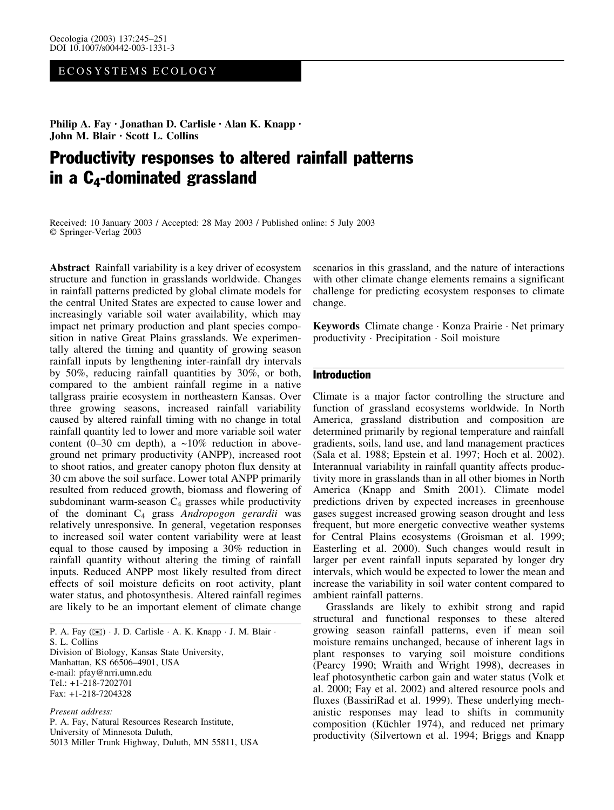# ECOSYSTEMS ECOLOGY

Philip A. Fay · Jonathan D. Carlisle · Alan K. Knapp · John M. Blair · Scott L. Collins

# Productivity responses to altered rainfall patterns in a C4-dominated grassland

Received: 10 January 2003 / Accepted: 28 May 2003 / Published online: 5 July 2003 Springer-Verlag 2003

Abstract Rainfall variability is a key driver of ecosystem structure and function in grasslands worldwide. Changes in rainfall patterns predicted by global climate models for the central United States are expected to cause lower and increasingly variable soil water availability, which may impact net primary production and plant species composition in native Great Plains grasslands. We experimentally altered the timing and quantity of growing season rainfall inputs by lengthening inter-rainfall dry intervals by 50%, reducing rainfall quantities by 30%, or both, compared to the ambient rainfall regime in a native tallgrass prairie ecosystem in northeastern Kansas. Over three growing seasons, increased rainfall variability caused by altered rainfall timing with no change in total rainfall quantity led to lower and more variable soil water content (0–30 cm depth), a  $\sim$ 10% reduction in aboveground net primary productivity (ANPP), increased root to shoot ratios, and greater canopy photon flux density at 30 cm above the soil surface. Lower total ANPP primarily resulted from reduced growth, biomass and flowering of subdominant warm-season  $C_4$  grasses while productivity of the dominant  $C_4$  grass Andropogon gerardii was relatively unresponsive. In general, vegetation responses to increased soil water content variability were at least equal to those caused by imposing a 30% reduction in rainfall quantity without altering the timing of rainfall inputs. Reduced ANPP most likely resulted from direct effects of soil moisture deficits on root activity, plant water status, and photosynthesis. Altered rainfall regimes are likely to be an important element of climate change

P. A. Fay (⊠) · J. D. Carlisle · A. K. Knapp · J. M. Blair · S. L. Collins Division of Biology, Kansas State University, Manhattan, KS 66506–4901, USA e-mail: pfay@nrri.umn.edu Tel.: +1-218-7202701 Fax: +1-218-7204328

Present address: P. A. Fay, Natural Resources Research Institute, University of Minnesota Duluth, 5013 Miller Trunk Highway, Duluth, MN 55811, USA scenarios in this grassland, and the nature of interactions with other climate change elements remains a significant challenge for predicting ecosystem responses to climate change.

Keywords Climate change · Konza Prairie · Net primary productivity · Precipitation · Soil moisture

## Introduction

Climate is a major factor controlling the structure and function of grassland ecosystems worldwide. In North America, grassland distribution and composition are determined primarily by regional temperature and rainfall gradients, soils, land use, and land management practices (Sala et al. 1988; Epstein et al. 1997; Hoch et al. 2002). Interannual variability in rainfall quantity affects productivity more in grasslands than in all other biomes in North America (Knapp and Smith 2001). Climate model predictions driven by expected increases in greenhouse gases suggest increased growing season drought and less frequent, but more energetic convective weather systems for Central Plains ecosystems (Groisman et al. 1999; Easterling et al. 2000). Such changes would result in larger per event rainfall inputs separated by longer dry intervals, which would be expected to lower the mean and increase the variability in soil water content compared to ambient rainfall patterns.

Grasslands are likely to exhibit strong and rapid structural and functional responses to these altered growing season rainfall patterns, even if mean soil moisture remains unchanged, because of inherent lags in plant responses to varying soil moisture conditions (Pearcy 1990; Wraith and Wright 1998), decreases in leaf photosynthetic carbon gain and water status (Volk et al. 2000; Fay et al. 2002) and altered resource pools and fluxes (BassiriRad et al. 1999). These underlying mechanistic responses may lead to shifts in community composition (Küchler 1974), and reduced net primary productivity (Silvertown et al. 1994; Briggs and Knapp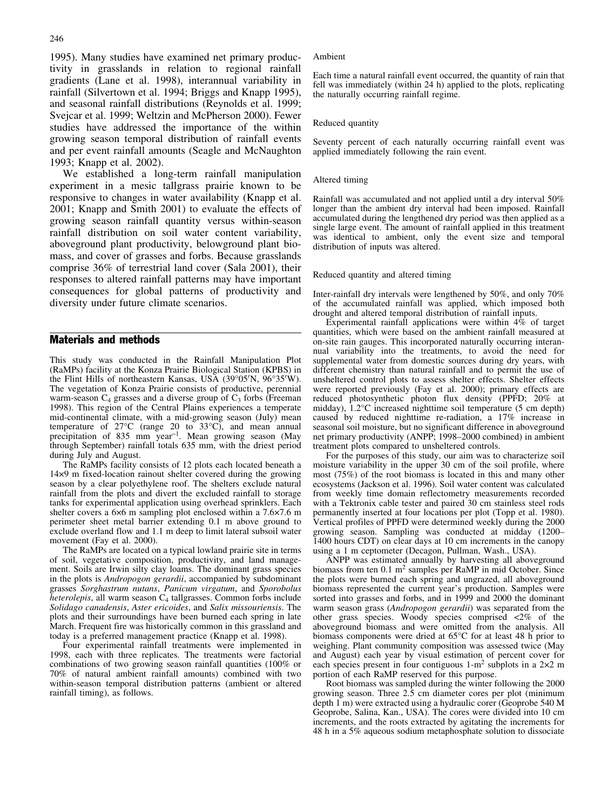1995). Many studies have examined net primary productivity in grasslands in relation to regional rainfall gradients (Lane et al. 1998), interannual variability in rainfall (Silvertown et al. 1994; Briggs and Knapp 1995), and seasonal rainfall distributions (Reynolds et al. 1999; Svejcar et al. 1999; Weltzin and McPherson 2000). Fewer studies have addressed the importance of the within growing season temporal distribution of rainfall events and per event rainfall amounts (Seagle and McNaughton 1993; Knapp et al. 2002).

We established a long-term rainfall manipulation experiment in a mesic tallgrass prairie known to be responsive to changes in water availability (Knapp et al. 2001; Knapp and Smith 2001) to evaluate the effects of growing season rainfall quantity versus within-season rainfall distribution on soil water content variability, aboveground plant productivity, belowground plant biomass, and cover of grasses and forbs. Because grasslands comprise 36% of terrestrial land cover (Sala 2001), their responses to altered rainfall patterns may have important consequences for global patterns of productivity and diversity under future climate scenarios.

## Materials and methods

This study was conducted in the Rainfall Manipulation Plot (RaMPs) facility at the Konza Prairie Biological Station (KPBS) in the Flint Hills of northeastern Kansas, USA (39°05'N, 96°35'W). The vegetation of Konza Prairie consists of productive, perennial warm-season  $C_4$  grasses and a diverse group of  $C_3$  forbs (Freeman 1998). This region of the Central Plains experiences a temperate mid-continental climate, with a mid-growing season (July) mean temperature of  $27^{\circ}$ C (range 20 to  $33^{\circ}$ C), and mean annual precipitation of 835 mm year<sup>-1</sup>. Mean growing season (May through September) rainfall totals 635 mm, with the driest period during July and August.

The RaMPs facility consists of 12 plots each located beneath a 149 m fixed-location rainout shelter covered during the growing season by a clear polyethylene roof. The shelters exclude natural rainfall from the plots and divert the excluded rainfall to storage tanks for experimental application using overhead sprinklers. Each shelter covers a  $6\times6$  m sampling plot enclosed within a  $7.6\times7.6$  m perimeter sheet metal barrier extending 0.1 m above ground to exclude overland flow and 1.1 m deep to limit lateral subsoil water movement (Fay et al. 2000).

The RaMPs are located on a typical lowland prairie site in terms of soil, vegetative composition, productivity, and land management. Soils are Irwin silty clay loams. The dominant grass species in the plots is Andropogon gerardii, accompanied by subdominant grasses Sorghastrum nutans, Panicum virgatum, and Sporobolus *heterolepis*, all warm season  $C_4$  tallgrasses. Common forbs include Solidago canadensis, Aster ericoides, and Salix missouriensis. The plots and their surroundings have been burned each spring in late March. Frequent fire was historically common in this grassland and today is a preferred management practice (Knapp et al. 1998).

Four experimental rainfall treatments were implemented in 1998, each with three replicates. The treatments were factorial combinations of two growing season rainfall quantities (100% or 70% of natural ambient rainfall amounts) combined with two within-season temporal distribution patterns (ambient or altered rainfall timing), as follows.

#### Ambient

Each time a natural rainfall event occurred, the quantity of rain that fell was immediately (within 24 h) applied to the plots, replicating the naturally occurring rainfall regime.

#### Reduced quantity

Seventy percent of each naturally occurring rainfall event was applied immediately following the rain event.

#### Altered timing

Rainfall was accumulated and not applied until a dry interval 50% longer than the ambient dry interval had been imposed. Rainfall accumulated during the lengthened dry period was then applied as a single large event. The amount of rainfall applied in this treatment was identical to ambient, only the event size and temporal distribution of inputs was altered.

#### Reduced quantity and altered timing

Inter-rainfall dry intervals were lengthened by 50%, and only 70% of the accumulated rainfall was applied, which imposed both drought and altered temporal distribution of rainfall inputs.

Experimental rainfall applications were within 4% of target quantities, which were based on the ambient rainfall measured at on-site rain gauges. This incorporated naturally occurring interannual variability into the treatments, to avoid the need for supplemental water from domestic sources during dry years, with different chemistry than natural rainfall and to permit the use of unsheltered control plots to assess shelter effects. Shelter effects were reported previously (Fay et al. 2000); primary effects are reduced photosynthetic photon flux density (PPFD; 20% at midday), 1.2°C increased nighttime soil temperature (5 cm depth) caused by reduced nighttime re-radiation, a 17% increase in seasonal soil moisture, but no significant difference in aboveground net primary productivity (ANPP; 1998–2000 combined) in ambient treatment plots compared to unsheltered controls.

For the purposes of this study, our aim was to characterize soil moisture variability in the upper 30 cm of the soil profile, where most (75%) of the root biomass is located in this and many other ecosystems (Jackson et al. 1996). Soil water content was calculated from weekly time domain reflectometry measurements recorded with a Tektronix cable tester and paired 30 cm stainless steel rods permanently inserted at four locations per plot (Topp et al. 1980). Vertical profiles of PPFD were determined weekly during the 2000 growing season. Sampling was conducted at midday (1200– 1400 hours CDT) on clear days at 10 cm increments in the canopy using a 1 m ceptometer (Decagon, Pullman, Wash., USA).

ANPP was estimated annually by harvesting all aboveground biomass from ten  $0.1 \text{ m}^2$  samples per RaMP in mid October. Since the plots were burned each spring and ungrazed, all aboveground biomass represented the current year's production. Samples were sorted into grasses and forbs, and in 1999 and 2000 the dominant warm season grass (Andropogon gerardii) was separated from the other grass species. Woody species comprised <2% of the aboveground biomass and were omitted from the analysis. All biomass components were dried at  $65^{\circ}$ C for at least 48 h prior to weighing. Plant community composition was assessed twice (May and August) each year by visual estimation of percent cover for each species present in four contiguous  $1-m^2$  subplots in a  $2\times 2$  m portion of each RaMP reserved for this purpose.

Root biomass was sampled during the winter following the 2000 growing season. Three 2.5 cm diameter cores per plot (minimum depth 1 m) were extracted using a hydraulic corer (Geoprobe 540 M Geoprobe, Salina, Kan., USA). The cores were divided into 10 cm increments, and the roots extracted by agitating the increments for 48 h in a 5% aqueous sodium metaphosphate solution to dissociate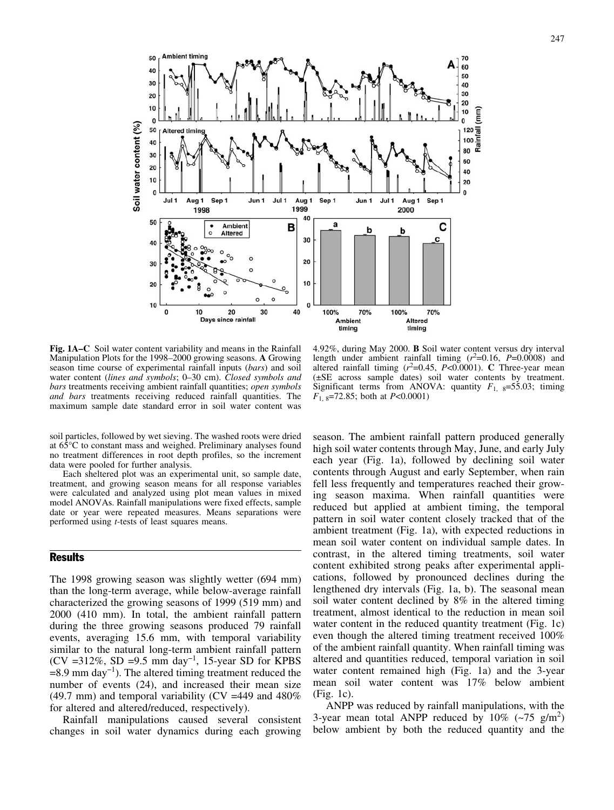**Ambient timing** 50 70 60 40 50  $30$ 40  $30^{\circ}$ 20 20  $10$ 10 (mm)  $\overline{0}$ n soil water content (%)  $\begin{array}{r}\n 120 \\
\overline{100} \\
\overline{100} \\
\overline{100} \\
\overline{100} \\
\overline{00}\n \end{array}$ 50 **Altered timin** 40 30 60  $20$ 40  $10$ 20  $\epsilon$  $\mathbf{0}$ Jul 1 Aug 1 Sep 1 Jun 1 Jul 1 Aug 1 Sep 1 Jun 1 Jul 1 Aug 1 Sep 1 1999 1998 2000 40 50 a **Ambient** B с b b **Altered** 30  $40$ c 20 30  $10$  $20$ 10  $\mathbf{0}$  $\Omega$  $10$  $20$ 30  $40$ 100% 70% 100% 70% Days since rainfall **Ambient** Altered timing timina

Fig. 1A–C Soil water content variability and means in the Rainfall Manipulation Plots for the 1998–2000 growing seasons. A Growing season time course of experimental rainfall inputs (bars) and soil water content (lines and symbols; 0–30 cm). Closed symbols and bars treatments receiving ambient rainfall quantities; open symbols and bars treatments receiving reduced rainfall quantities. The maximum sample date standard error in soil water content was

soil particles, followed by wet sieving. The washed roots were dried at  $65^{\circ}$ C to constant mass and weighed. Preliminary analyses found no treatment differences in root depth profiles, so the increment data were pooled for further analysis.

Each sheltered plot was an experimental unit, so sample date, treatment, and growing season means for all response variables were calculated and analyzed using plot mean values in mixed model ANOVAs. Rainfall manipulations were fixed effects, sample date or year were repeated measures. Means separations were performed using t-tests of least squares means.

# **Results**

The 1998 growing season was slightly wetter (694 mm) than the long-term average, while below-average rainfall characterized the growing seasons of 1999 (519 mm) and 2000 (410 mm). In total, the ambient rainfall pattern during the three growing seasons produced 79 rainfall events, averaging 15.6 mm, with temporal variability similar to the natural long-term ambient rainfall pattern (CV =312%, SD =9.5 mm day<sup>-1</sup>, 15-year SD for KPBS  $=8.9$  mm day<sup>-1</sup>). The altered timing treatment reduced the number of events (24), and increased their mean size (49.7 mm) and temporal variability (CV =449 and  $480\%$ ) for altered and altered/reduced, respectively).

Rainfall manipulations caused several consistent changes in soil water dynamics during each growing

4.92%, during May 2000. B Soil water content versus dry interval length under ambient rainfall timing  $(r^2=0.16, P=0.0008)$  and altered rainfall timing  $(r^2=0.45, P<0.0001)$ . C Three-year mean (€SE across sample dates) soil water contents by treatment. Significant terms from ANOVA: quantity  $F_{1, 8} = 55.03$ ; timing  $F_{1, 8}$ =72.85; both at P<0.0001)

season. The ambient rainfall pattern produced generally high soil water contents through May, June, and early July each year (Fig. 1a), followed by declining soil water contents through August and early September, when rain fell less frequently and temperatures reached their growing season maxima. When rainfall quantities were reduced but applied at ambient timing, the temporal pattern in soil water content closely tracked that of the ambient treatment (Fig. 1a), with expected reductions in mean soil water content on individual sample dates. In contrast, in the altered timing treatments, soil water content exhibited strong peaks after experimental applications, followed by pronounced declines during the lengthened dry intervals (Fig. 1a, b). The seasonal mean soil water content declined by 8% in the altered timing treatment, almost identical to the reduction in mean soil water content in the reduced quantity treatment (Fig. 1c) even though the altered timing treatment received 100% of the ambient rainfall quantity. When rainfall timing was altered and quantities reduced, temporal variation in soil water content remained high (Fig. 1a) and the 3-year mean soil water content was 17% below ambient (Fig. 1c).

ANPP was reduced by rainfall manipulations, with the 3-year mean total ANPP reduced by  $10\%$  (~75 g/m<sup>2</sup>) below ambient by both the reduced quantity and the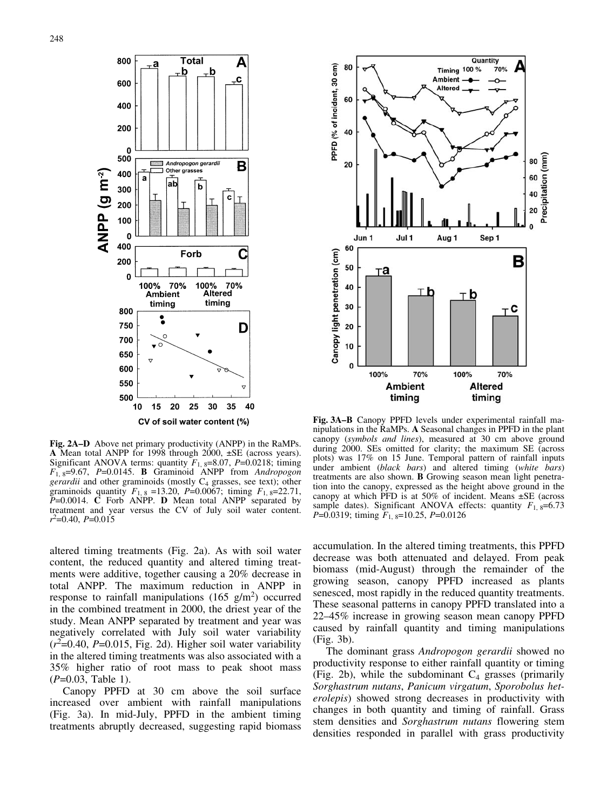

Fig. 2A–D Above net primary productivity (ANPP) in the RaMPs. A Mean total ANPP for 1998 through 2000,  $\pm$ SE (across years). Significant ANOVA terms: quantity  $F_{1, 8} = 8.07$ ,  $P = 0.0218$ ; timing  $F_1$ <sub>8</sub>=9.67, P=0.0145. **B** Graminoid ANPP from Andropogon *gerardii* and other graminoids (mostly  $C_4$  grasses, see text); other graminoids quantity  $F_{1, 8} = 13.20$ ,  $P = 0.0067$ ; timing  $F_{1, 8} = 22.71$ ,  $P=0.0014$ . C Forb ANPP. D Mean total ANPP separated by treatment and year versus the CV of July soil water content.  $r^2$ =0.40, P=0.015

altered timing treatments (Fig. 2a). As with soil water content, the reduced quantity and altered timing treatments were additive, together causing a 20% decrease in total ANPP. The maximum reduction in ANPP in response to rainfall manipulations (165  $g/m<sup>2</sup>$ ) occurred in the combined treatment in 2000, the driest year of the study. Mean ANPP separated by treatment and year was negatively correlated with July soil water variability  $(r^2=0.40, P=0.015,$  Fig. 2d). Higher soil water variability in the altered timing treatments was also associated with a 35% higher ratio of root mass to peak shoot mass  $(P=0.03,$  Table 1).

Canopy PPFD at 30 cm above the soil surface increased over ambient with rainfall manipulations (Fig. 3a). In mid-July, PPFD in the ambient timing treatments abruptly decreased, suggesting rapid biomass



Fig. 3A–B Canopy PPFD levels under experimental rainfall manipulations in the RaMPs. A Seasonal changes in PPFD in the plant canopy (symbols and lines), measured at 30 cm above ground during 2000. SEs omitted for clarity; the maximum SE (across plots) was 17% on 15 June. Temporal pattern of rainfall inputs under ambient (black bars) and altered timing (white bars) treatments are also shown. B Growing season mean light penetration into the canopy, expressed as the height above ground in the canopy at which PFD is at 50% of incident. Means  $\pm$ SE (across sample dates). Significant ANOVA effects: quantity  $F_{1, 8} = 6.73$  $P=0.0319$ ; timing  $F_{1,8}=10.25$ ,  $P=0.0126$ 

accumulation. In the altered timing treatments, this PPFD decrease was both attenuated and delayed. From peak biomass (mid-August) through the remainder of the growing season, canopy PPFD increased as plants senesced, most rapidly in the reduced quantity treatments. These seasonal patterns in canopy PPFD translated into a 22–45% increase in growing season mean canopy PPFD caused by rainfall quantity and timing manipulations (Fig. 3b).

The dominant grass Andropogon gerardii showed no productivity response to either rainfall quantity or timing (Fig. 2b), while the subdominant  $C_4$  grasses (primarily Sorghastrum nutans, Panicum virgatum, Sporobolus heterolepis) showed strong decreases in productivity with changes in both quantity and timing of rainfall. Grass stem densities and Sorghastrum nutans flowering stem densities responded in parallel with grass productivity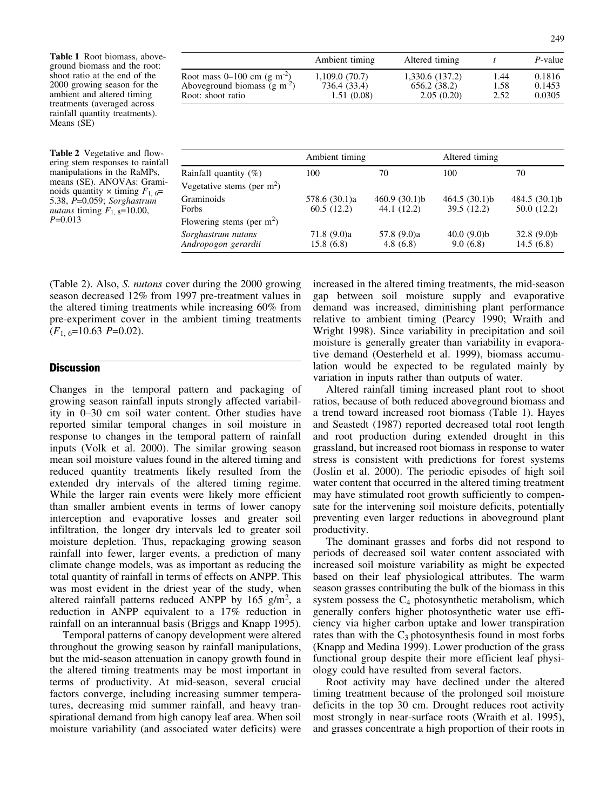Table 1 Root biomass, aboveground biomass and the root: shoot ratio at the end of the 2000 growing season for the ambient and altered timing treatments (averaged across rainfall quantity treatments). Means (SE)

Table 2 Vegetative and flowering stem responses to rainfall manipulations in the RaMPs, means (SE). ANOVAs: Graminoids quantity  $\times$  timing  $F_{1, 6}$ = 5.38, P=0.059; Sorghastrum nutans timing  $F_{1,8}=10.00$ ,  $P=0.013$ 

|                                           | Ambient timing | Altered timing  |      | P-value |
|-------------------------------------------|----------------|-----------------|------|---------|
| Root mass $0-100$ cm (g m <sup>-2</sup> ) | 1,109.0 (70.7) | 1,330.6 (137.2) | 1.44 | 0.1816  |
| Aboveground biomass $(g m-2)$             | 736.4 (33.4)   | 656.2 (38.2)    | 1.58 | 0.1453  |
| Root: shoot ratio                         | 1.51(0.08)     | 2.05(0.20)      | 2.52 | 0.0305  |

|                                           |                             | Ambient timing                  |                             | Altered timing               |  |
|-------------------------------------------|-----------------------------|---------------------------------|-----------------------------|------------------------------|--|
| Rainfall quantity $(\%)$                  | 100                         | 70                              | 100                         | 70                           |  |
| Vegetative stems (per $m2$ )              |                             |                                 |                             |                              |  |
| Graminoids<br>Forbs                       | 578.6 (30.1)a<br>60.5(12.2) | 460.9 $(30.1)$ b<br>44.1 (12.2) | 464.5(30.1)b<br>39.5 (12.2) | 484.5 (30.1)b<br>50.0 (12.2) |  |
| Flowering stems (per $m2$ )               |                             |                                 |                             |                              |  |
| Sorghastrum nutans<br>Andropogon gerardii | 71.8(9.0)a<br>15.8(6.8)     | 57.8 (9.0)a<br>4.8(6.8)         | 40.0(9.0)b<br>9.0(6.8)      | 32.8(9.0)b<br>14.5(6.8)      |  |

(Table 2). Also, S. nutans cover during the 2000 growing season decreased 12% from 1997 pre-treatment values in the altered timing treatments while increasing 60% from pre-experiment cover in the ambient timing treatments  $(F_{1, 6} = 10.63 \text{ } P = 0.02).$ 

### **Discussion**

Changes in the temporal pattern and packaging of growing season rainfall inputs strongly affected variability in 0–30 cm soil water content. Other studies have reported similar temporal changes in soil moisture in response to changes in the temporal pattern of rainfall inputs (Volk et al. 2000). The similar growing season mean soil moisture values found in the altered timing and reduced quantity treatments likely resulted from the extended dry intervals of the altered timing regime. While the larger rain events were likely more efficient than smaller ambient events in terms of lower canopy interception and evaporative losses and greater soil infiltration, the longer dry intervals led to greater soil moisture depletion. Thus, repackaging growing season rainfall into fewer, larger events, a prediction of many climate change models, was as important as reducing the total quantity of rainfall in terms of effects on ANPP. This was most evident in the driest year of the study, when altered rainfall patterns reduced ANPP by  $165 \text{ g/m}^2$ , a reduction in ANPP equivalent to a 17% reduction in rainfall on an interannual basis (Briggs and Knapp 1995).

Temporal patterns of canopy development were altered throughout the growing season by rainfall manipulations, but the mid-season attenuation in canopy growth found in the altered timing treatments may be most important in terms of productivity. At mid-season, several crucial factors converge, including increasing summer temperatures, decreasing mid summer rainfall, and heavy transpirational demand from high canopy leaf area. When soil moisture variability (and associated water deficits) were increased in the altered timing treatments, the mid-season gap between soil moisture supply and evaporative demand was increased, diminishing plant performance relative to ambient timing (Pearcy 1990; Wraith and Wright 1998). Since variability in precipitation and soil moisture is generally greater than variability in evaporative demand (Oesterheld et al. 1999), biomass accumulation would be expected to be regulated mainly by variation in inputs rather than outputs of water.

Altered rainfall timing increased plant root to shoot ratios, because of both reduced aboveground biomass and a trend toward increased root biomass (Table 1). Hayes and Seastedt (1987) reported decreased total root length and root production during extended drought in this grassland, but increased root biomass in response to water stress is consistent with predictions for forest systems (Joslin et al. 2000). The periodic episodes of high soil water content that occurred in the altered timing treatment may have stimulated root growth sufficiently to compensate for the intervening soil moisture deficits, potentially preventing even larger reductions in aboveground plant productivity.

The dominant grasses and forbs did not respond to periods of decreased soil water content associated with increased soil moisture variability as might be expected based on their leaf physiological attributes. The warm season grasses contributing the bulk of the biomass in this system possess the  $C_4$  photosynthetic metabolism, which generally confers higher photosynthetic water use efficiency via higher carbon uptake and lower transpiration rates than with the  $C_3$  photosynthesis found in most forbs (Knapp and Medina 1999). Lower production of the grass functional group despite their more efficient leaf physiology could have resulted from several factors.

Root activity may have declined under the altered timing treatment because of the prolonged soil moisture deficits in the top 30 cm. Drought reduces root activity most strongly in near-surface roots (Wraith et al. 1995), and grasses concentrate a high proportion of their roots in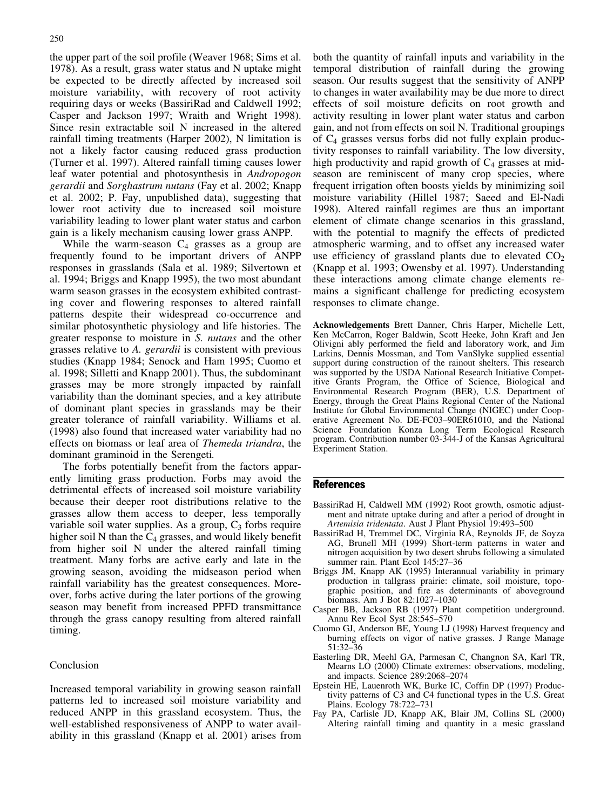the upper part of the soil profile (Weaver 1968; Sims et al. 1978). As a result, grass water status and N uptake might be expected to be directly affected by increased soil moisture variability, with recovery of root activity requiring days or weeks (BassiriRad and Caldwell 1992; Casper and Jackson 1997; Wraith and Wright 1998). Since resin extractable soil N increased in the altered rainfall timing treatments (Harper 2002), N limitation is not a likely factor causing reduced grass production (Turner et al. 1997). Altered rainfall timing causes lower leaf water potential and photosynthesis in Andropogon gerardii and Sorghastrum nutans (Fay et al. 2002; Knapp et al. 2002; P. Fay, unpublished data), suggesting that lower root activity due to increased soil moisture variability leading to lower plant water status and carbon gain is a likely mechanism causing lower grass ANPP.

While the warm-season  $C_4$  grasses as a group are frequently found to be important drivers of ANPP responses in grasslands (Sala et al. 1989; Silvertown et al. 1994; Briggs and Knapp 1995), the two most abundant warm season grasses in the ecosystem exhibited contrasting cover and flowering responses to altered rainfall patterns despite their widespread co-occurrence and similar photosynthetic physiology and life histories. The greater response to moisture in S. nutans and the other grasses relative to A. gerardii is consistent with previous studies (Knapp 1984; Senock and Ham 1995; Cuomo et al. 1998; Silletti and Knapp 2001). Thus, the subdominant grasses may be more strongly impacted by rainfall variability than the dominant species, and a key attribute of dominant plant species in grasslands may be their greater tolerance of rainfall variability. Williams et al. (1998) also found that increased water variability had no effects on biomass or leaf area of Themeda triandra, the dominant graminoid in the Serengeti.

The forbs potentially benefit from the factors apparently limiting grass production. Forbs may avoid the detrimental effects of increased soil moisture variability because their deeper root distributions relative to the grasses allow them access to deeper, less temporally variable soil water supplies. As a group,  $C_3$  forbs require higher soil N than the  $C_4$  grasses, and would likely benefit from higher soil N under the altered rainfall timing treatment. Many forbs are active early and late in the growing season, avoiding the midseason period when rainfall variability has the greatest consequences. Moreover, forbs active during the later portions of the growing season may benefit from increased PPFD transmittance through the grass canopy resulting from altered rainfall timing.

## Conclusion

Increased temporal variability in growing season rainfall patterns led to increased soil moisture variability and reduced ANPP in this grassland ecosystem. Thus, the well-established responsiveness of ANPP to water availability in this grassland (Knapp et al. 2001) arises from both the quantity of rainfall inputs and variability in the temporal distribution of rainfall during the growing season. Our results suggest that the sensitivity of ANPP to changes in water availability may be due more to direct effects of soil moisture deficits on root growth and activity resulting in lower plant water status and carbon gain, and not from effects on soil N. Traditional groupings of  $C_4$  grasses versus forbs did not fully explain productivity responses to rainfall variability. The low diversity, high productivity and rapid growth of  $C_4$  grasses at midseason are reminiscent of many crop species, where frequent irrigation often boosts yields by minimizing soil moisture variability (Hillel 1987; Saeed and El-Nadi 1998). Altered rainfall regimes are thus an important element of climate change scenarios in this grassland, with the potential to magnify the effects of predicted atmospheric warming, and to offset any increased water use efficiency of grassland plants due to elevated  $CO<sub>2</sub>$ (Knapp et al. 1993; Owensby et al. 1997). Understanding these interactions among climate change elements remains a significant challenge for predicting ecosystem responses to climate change.

Acknowledgements Brett Danner, Chris Harper, Michelle Lett, Ken McCarron, Roger Baldwin, Scott Heeke, John Kraft and Jen Olivigni ably performed the field and laboratory work, and Jim Larkins, Dennis Mossman, and Tom VanSlyke supplied essential support during construction of the rainout shelters. This research was supported by the USDA National Research Initiative Competitive Grants Program, the Office of Science, Biological and Environmental Research Program (BER), U.S. Department of Energy, through the Great Plains Regional Center of the National Institute for Global Environmental Change (NIGEC) under Cooperative Agreement No. DE-FC03–90ER61010, and the National Science Foundation Konza Long Term Ecological Research program. Contribution number 03-344-J of the Kansas Agricultural Experiment Station.

## **References**

- BassiriRad H, Caldwell MM (1992) Root growth, osmotic adjustment and nitrate uptake during and after a period of drought in Artemisia tridentata. Aust J Plant Physiol 19:493–500
- BassiriRad H, Tremmel DC, Virginia RA, Reynolds JF, de Soyza AG, Brunell MH (1999) Short-term patterns in water and nitrogen acquisition by two desert shrubs following a simulated summer rain. Plant Ecol 145:27–36
- Briggs JM, Knapp AK (1995) Interannual variability in primary production in tallgrass prairie: climate, soil moisture, topographic position, and fire as determinants of aboveground biomass. Am J Bot 82:1027–1030
- Casper BB, Jackson RB (1997) Plant competition underground. Annu Rev Ecol Syst 28:545–570
- Cuomo GJ, Anderson BE, Young LJ (1998) Harvest frequency and burning effects on vigor of native grasses. J Range Manage 51:32–36
- Easterling DR, Meehl GA, Parmesan C, Changnon SA, Karl TR, Mearns LO (2000) Climate extremes: observations, modeling, and impacts. Science 289:2068–2074
- Epstein HE, Lauenroth WK, Burke IC, Coffin DP (1997) Productivity patterns of C3 and C4 functional types in the U.S. Great Plains. Ecology 78:722–731
- Fay PA, Carlisle JD, Knapp AK, Blair JM, Collins SL (2000) Altering rainfall timing and quantity in a mesic grassland